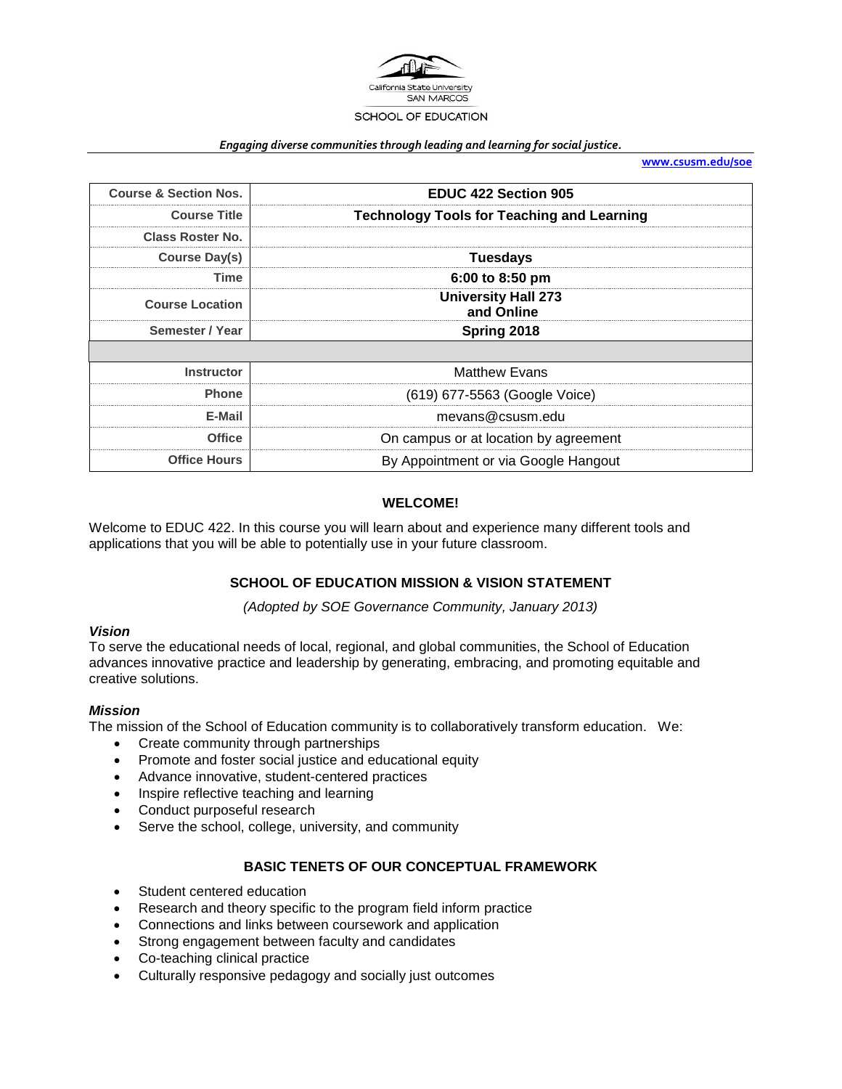

#### *Engaging diverse communities through leading and learning for social justice.*

**[www.csusm.edu/soe](http://www.csusm.edu/soe)**

| <b>Course &amp; Section Nos.</b> | <b>EDUC 422 Section 905</b>                       |  |
|----------------------------------|---------------------------------------------------|--|
| <b>Course Title</b>              | <b>Technology Tools for Teaching and Learning</b> |  |
| Class Roster No.                 |                                                   |  |
| Course Day(s)                    | <b>Tuesdays</b>                                   |  |
| Time                             | 6:00 to 8:50 pm                                   |  |
| <b>Course Location</b>           | <b>University Hall 273</b><br>and Online          |  |
| Semester / Year                  | Spring 2018                                       |  |
|                                  |                                                   |  |
| <b>Instructor</b>                | <b>Matthew Evans</b>                              |  |
| <b>Phone</b>                     | (619) 677-5563 (Google Voice)                     |  |
| E-Mail                           | mevans@csusm.edu                                  |  |
| <b>Office</b>                    | On campus or at location by agreement             |  |
| <b>Office Hours</b>              | By Appointment or via Google Hangout              |  |

#### **WELCOME!**

Welcome to EDUC 422. In this course you will learn about and experience many different tools and applications that you will be able to potentially use in your future classroom.

#### **SCHOOL OF EDUCATION MISSION & VISION STATEMENT**

*(Adopted by SOE Governance Community, January 2013)*

#### *Vision*

To serve the educational needs of local, regional, and global communities, the School of Education advances innovative practice and leadership by generating, embracing, and promoting equitable and creative solutions.

#### *Mission*

The mission of the School of Education community is to collaboratively transform education. We:

- Create community through partnerships
- Promote and foster social justice and educational equity
- Advance innovative, student-centered practices
- Inspire reflective teaching and learning
- Conduct purposeful research
- Serve the school, college, university, and community

#### **BASIC TENETS OF OUR CONCEPTUAL FRAMEWORK**

- Student centered education
- Research and theory specific to the program field inform practice
- Connections and links between coursework and application
- Strong engagement between faculty and candidates
- Co-teaching clinical practice
- Culturally responsive pedagogy and socially just outcomes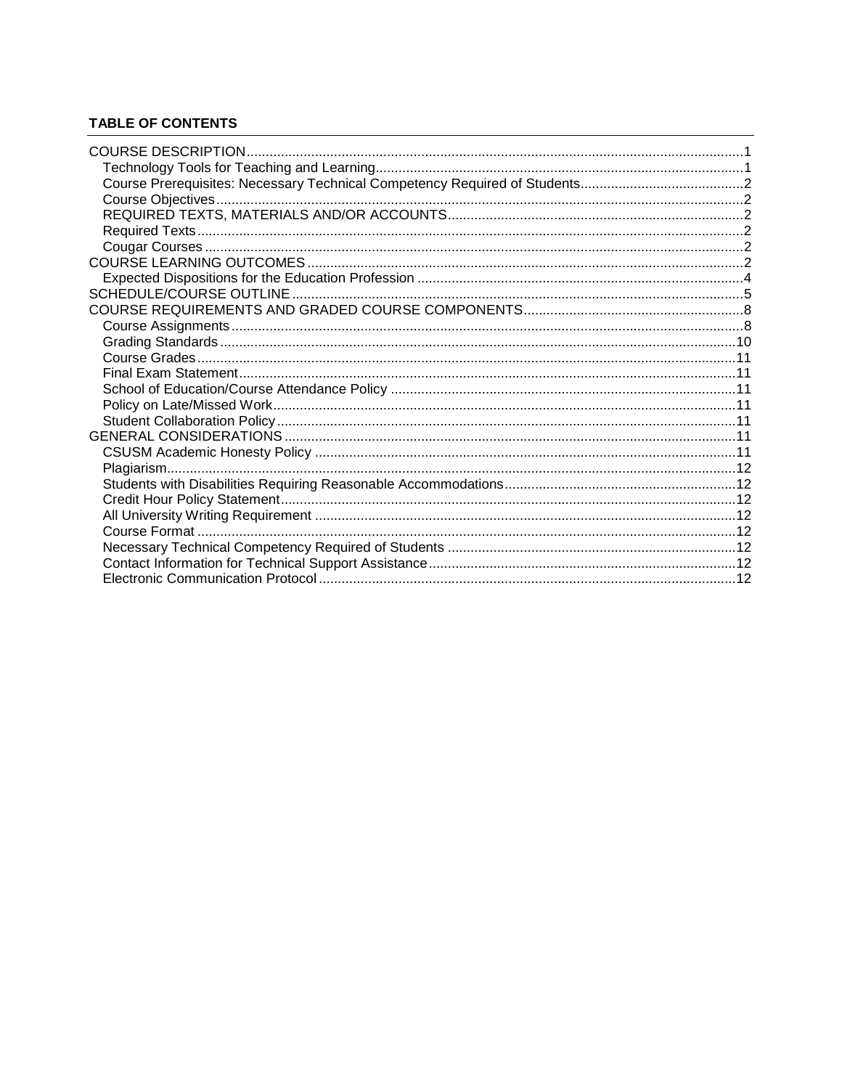# **TABLE OF CONTENTS**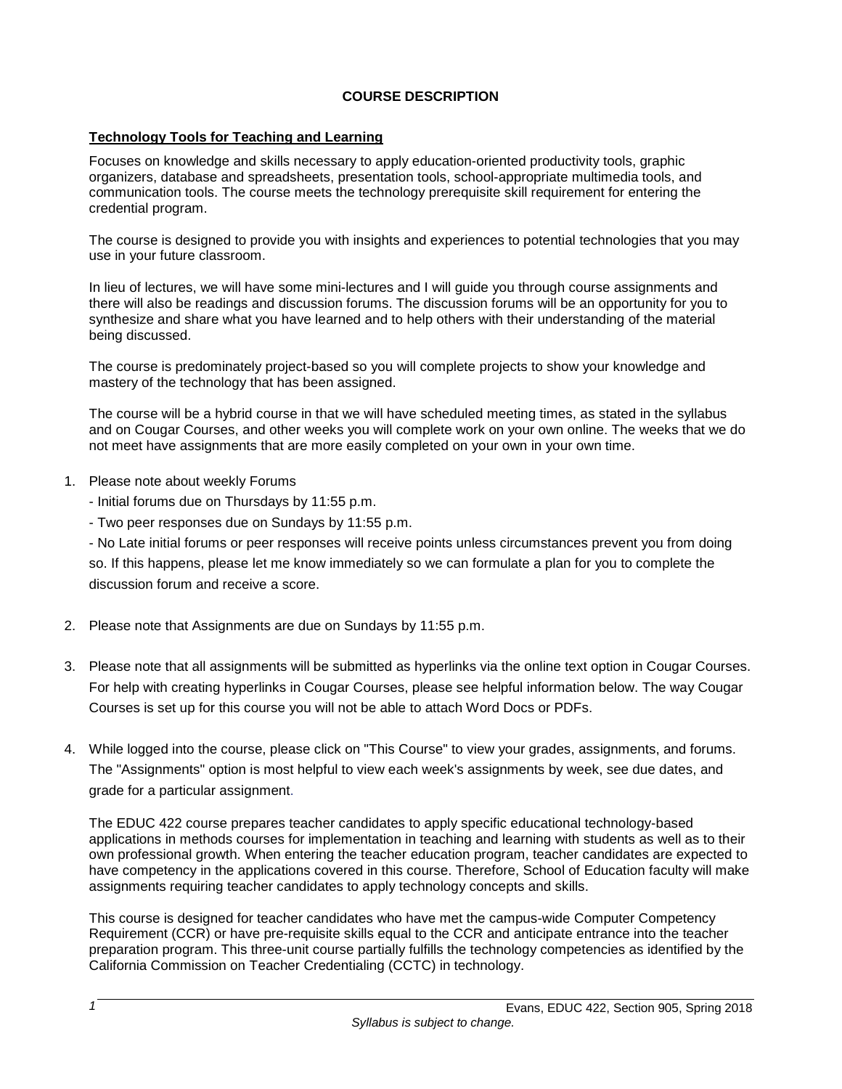## <span id="page-2-0"></span>**COURSE DESCRIPTION**

### <span id="page-2-1"></span>**Technology Tools for Teaching and Learning**

Focuses on knowledge and skills necessary to apply education-oriented productivity tools, graphic organizers, database and spreadsheets, presentation tools, school-appropriate multimedia tools, and communication tools. The course meets the technology prerequisite skill requirement for entering the credential program.

The course is designed to provide you with insights and experiences to potential technologies that you may use in your future classroom.

In lieu of lectures, we will have some mini-lectures and I will guide you through course assignments and there will also be readings and discussion forums. The discussion forums will be an opportunity for you to synthesize and share what you have learned and to help others with their understanding of the material being discussed.

The course is predominately project-based so you will complete projects to show your knowledge and mastery of the technology that has been assigned.

The course will be a hybrid course in that we will have scheduled meeting times, as stated in the syllabus and on Cougar Courses, and other weeks you will complete work on your own online. The weeks that we do not meet have assignments that are more easily completed on your own in your own time.

- 1. Please note about weekly Forums
	- Initial forums due on Thursdays by 11:55 p.m.
	- Two peer responses due on Sundays by 11:55 p.m.

- No Late initial forums or peer responses will receive points unless circumstances prevent you from doing so. If this happens, please let me know immediately so we can formulate a plan for you to complete the discussion forum and receive a score.

- 2. Please note that Assignments are due on Sundays by 11:55 p.m.
- 3. Please note that all assignments will be submitted as hyperlinks via the online text option in Cougar Courses. For help with creating hyperlinks in Cougar Courses, please see helpful information below. The way Cougar Courses is set up for this course you will not be able to attach Word Docs or PDFs.
- 4. While logged into the course, please click on "This Course" to view your grades, assignments, and forums. The "Assignments" option is most helpful to view each week's assignments by week, see due dates, and grade for a particular assignment.

The EDUC 422 course prepares teacher candidates to apply specific educational technology-based applications in methods courses for implementation in teaching and learning with students as well as to their own professional growth. When entering the teacher education program, teacher candidates are expected to have competency in the applications covered in this course. Therefore, School of Education faculty will make assignments requiring teacher candidates to apply technology concepts and skills.

This course is designed for teacher candidates who have met the campus-wide Computer Competency Requirement (CCR) or have pre-requisite skills equal to the CCR and anticipate entrance into the teacher preparation program. This three-unit course partially fulfills the technology competencies as identified by the California Commission on Teacher Credentialing (CCTC) in technology.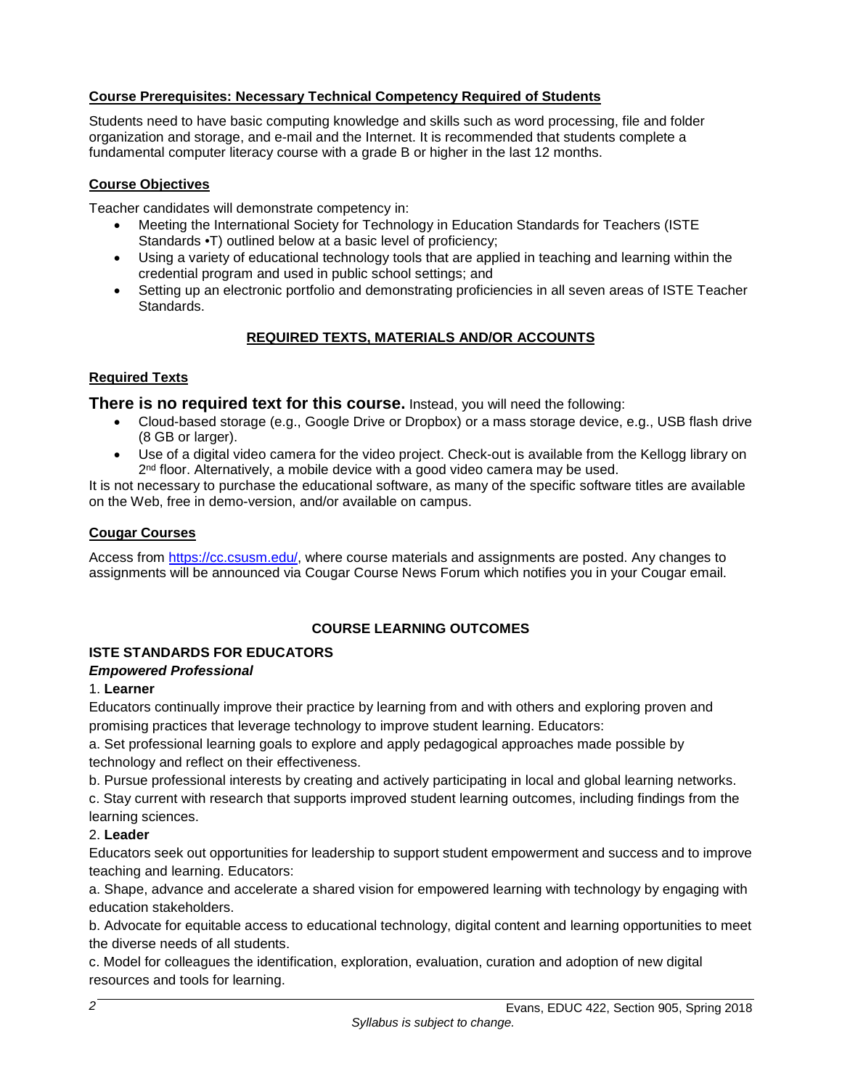## <span id="page-3-0"></span>**Course Prerequisites: Necessary Technical Competency Required of Students**

Students need to have basic computing knowledge and skills such as word processing, file and folder organization and storage, and e-mail and the Internet. It is recommended that students complete a fundamental computer literacy course with a grade B or higher in the last 12 months.

### <span id="page-3-1"></span>**Course Objectives**

Teacher candidates will demonstrate competency in:

- Meeting the International Society for Technology in Education Standards for Teachers (ISTE Standards •T) outlined below at a basic level of proficiency;
- Using a variety of educational technology tools that are applied in teaching and learning within the credential program and used in public school settings; and
- Setting up an electronic portfolio and demonstrating proficiencies in all seven areas of ISTE Teacher Standards.

## **REQUIRED TEXTS, MATERIALS AND/OR ACCOUNTS**

## <span id="page-3-3"></span><span id="page-3-2"></span>**Required Texts**

**There is no required text for this course.** Instead, you will need the following:

- Cloud-based storage (e.g., Google Drive or Dropbox) or a mass storage device, e.g., USB flash drive (8 GB or larger).
- Use of a digital video camera for the video project. Check-out is available from the Kellogg library on 2<sup>nd</sup> floor. Alternatively, a mobile device with a good video camera may be used.

It is not necessary to purchase the educational software, as many of the specific software titles are available on the Web, free in demo-version, and/or available on campus.

### <span id="page-3-4"></span>**Cougar Courses**

Access from [https://cc.csusm.edu/,](https://cc.csusm.edu/) where course materials and assignments are posted. Any changes to assignments will be announced via Cougar Course News Forum which notifies you in your Cougar email.

## **COURSE LEARNING OUTCOMES**

## <span id="page-3-5"></span>**ISTE STANDARDS FOR EDUCATORS**

#### *Empowered Professional*

#### 1. **Learner**

Educators continually improve their practice by learning from and with others and exploring proven and promising practices that leverage technology to improve student learning. Educators:

a. Set professional learning goals to explore and apply pedagogical approaches made possible by technology and reflect on their effectiveness.

b. Pursue professional interests by creating and actively participating in local and global learning networks.

c. Stay current with research that supports improved student learning outcomes, including findings from the learning sciences.

#### 2. **Leader**

Educators seek out opportunities for leadership to support student empowerment and success and to improve teaching and learning. Educators:

a. Shape, advance and accelerate a shared vision for empowered learning with technology by engaging with education stakeholders.

b. Advocate for equitable access to educational technology, digital content and learning opportunities to meet the diverse needs of all students.

c. Model for colleagues the identification, exploration, evaluation, curation and adoption of new digital resources and tools for learning.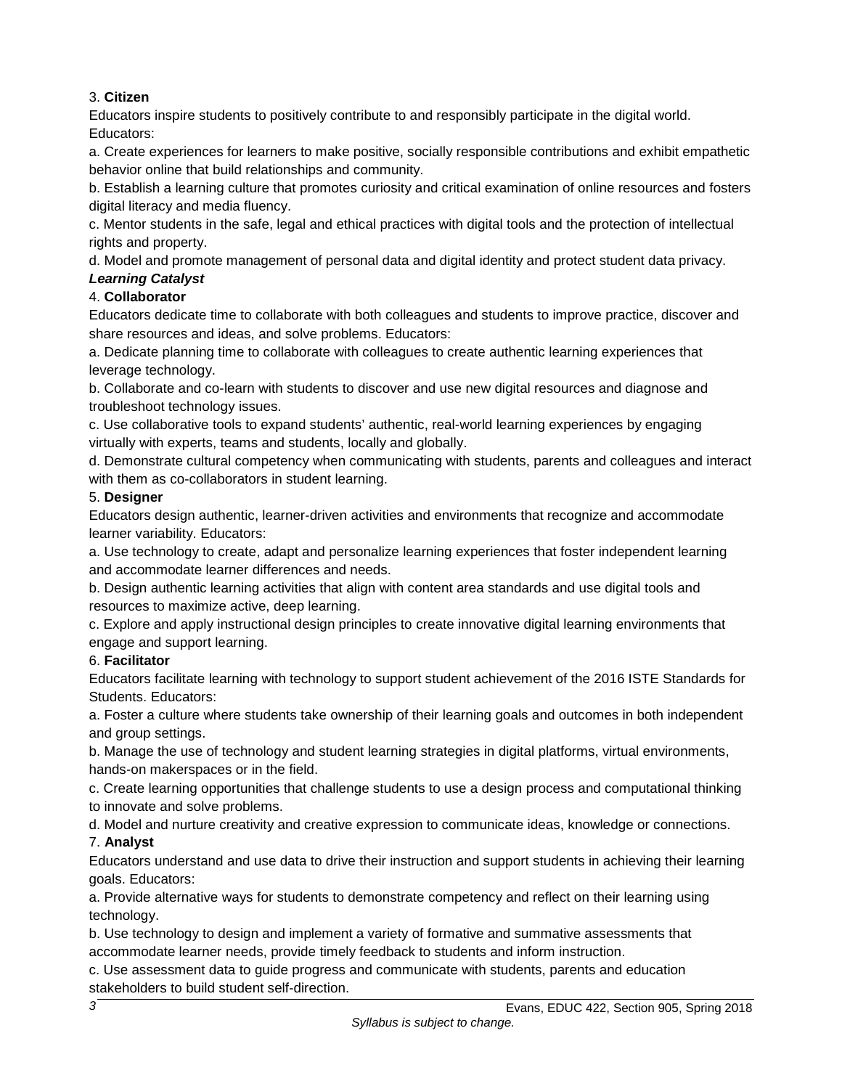## 3. **Citizen**

Educators inspire students to positively contribute to and responsibly participate in the digital world. Educators:

a. Create experiences for learners to make positive, socially responsible contributions and exhibit empathetic behavior online that build relationships and community.

b. Establish a learning culture that promotes curiosity and critical examination of online resources and fosters digital literacy and media fluency.

c. Mentor students in the safe, legal and ethical practices with digital tools and the protection of intellectual rights and property.

d. Model and promote management of personal data and digital identity and protect student data privacy.

# *Learning Catalyst*

## 4. **Collaborator**

Educators dedicate time to collaborate with both colleagues and students to improve practice, discover and share resources and ideas, and solve problems. Educators:

a. Dedicate planning time to collaborate with colleagues to create authentic learning experiences that leverage technology.

b. Collaborate and co-learn with students to discover and use new digital resources and diagnose and troubleshoot technology issues.

c. Use collaborative tools to expand students' authentic, real-world learning experiences by engaging virtually with experts, teams and students, locally and globally.

d. Demonstrate cultural competency when communicating with students, parents and colleagues and interact with them as co-collaborators in student learning.

## 5. **Designer**

Educators design authentic, learner-driven activities and environments that recognize and accommodate learner variability. Educators:

a. Use technology to create, adapt and personalize learning experiences that foster independent learning and accommodate learner differences and needs.

b. Design authentic learning activities that align with content area standards and use digital tools and resources to maximize active, deep learning.

c. Explore and apply instructional design principles to create innovative digital learning environments that engage and support learning.

## 6. **Facilitator**

Educators facilitate learning with technology to support student achievement of the 2016 ISTE Standards for Students. Educators:

a. Foster a culture where students take ownership of their learning goals and outcomes in both independent and group settings.

b. Manage the use of technology and student learning strategies in digital platforms, virtual environments, hands-on makerspaces or in the field.

c. Create learning opportunities that challenge students to use a design process and computational thinking to innovate and solve problems.

d. Model and nurture creativity and creative expression to communicate ideas, knowledge or connections. 7. **Analyst**

Educators understand and use data to drive their instruction and support students in achieving their learning goals. Educators:

a. Provide alternative ways for students to demonstrate competency and reflect on their learning using technology.

b. Use technology to design and implement a variety of formative and summative assessments that accommodate learner needs, provide timely feedback to students and inform instruction.

c. Use assessment data to guide progress and communicate with students, parents and education stakeholders to build student self-direction.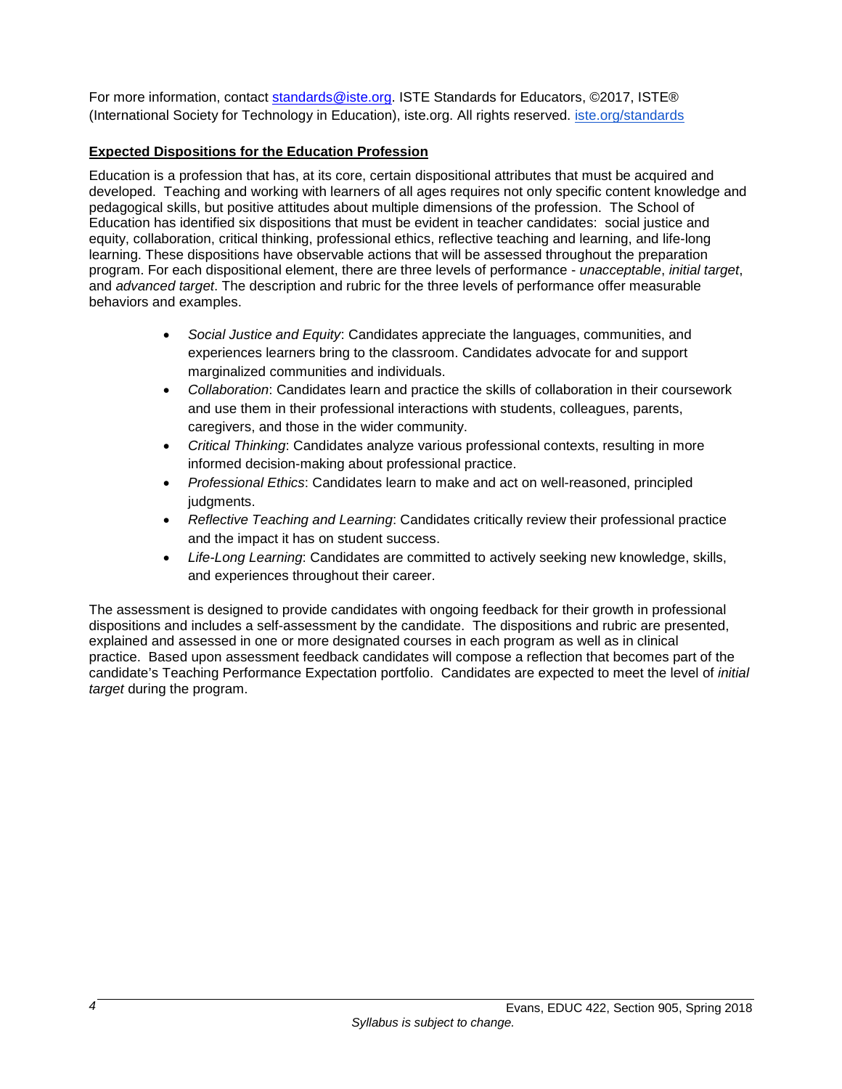For more information, contact [standards@iste.org.](mailto:standards@iste.org) ISTE Standards for Educators, ©2017, ISTE® (International Society for Technology in Education), iste.org. All rights reserved. [iste.org/standards](https://www.iste.org/standards/standards)

## <span id="page-5-0"></span>**Expected Dispositions for the Education Profession**

Education is a profession that has, at its core, certain dispositional attributes that must be acquired and developed. Teaching and working with learners of all ages requires not only specific content knowledge and pedagogical skills, but positive attitudes about multiple dimensions of the profession. The School of Education has identified six dispositions that must be evident in teacher candidates: social justice and equity, collaboration, critical thinking, professional ethics, reflective teaching and learning, and life-long learning. These dispositions have observable actions that will be assessed throughout the preparation program. For each dispositional element, there are three levels of performance - *unacceptable*, *initial target*, and *advanced target*. The description and rubric for the three levels of performance offer measurable behaviors and examples.

- *Social Justice and Equity*: Candidates appreciate the languages, communities, and experiences learners bring to the classroom. Candidates advocate for and support marginalized communities and individuals.
- *Collaboration*: Candidates learn and practice the skills of collaboration in their coursework and use them in their professional interactions with students, colleagues, parents, caregivers, and those in the wider community.
- *Critical Thinking*: Candidates analyze various professional contexts, resulting in more informed decision-making about professional practice.
- *Professional Ethics*: Candidates learn to make and act on well-reasoned, principled judgments.
- *Reflective Teaching and Learning*: Candidates critically review their professional practice and the impact it has on student success.
- *Life-Long Learning*: Candidates are committed to actively seeking new knowledge, skills, and experiences throughout their career.

The assessment is designed to provide candidates with ongoing feedback for their growth in professional dispositions and includes a self-assessment by the candidate. The dispositions and rubric are presented, explained and assessed in one or more designated courses in each program as well as in clinical practice. Based upon assessment feedback candidates will compose a reflection that becomes part of the candidate's Teaching Performance Expectation portfolio. Candidates are expected to meet the level of *initial target* during the program.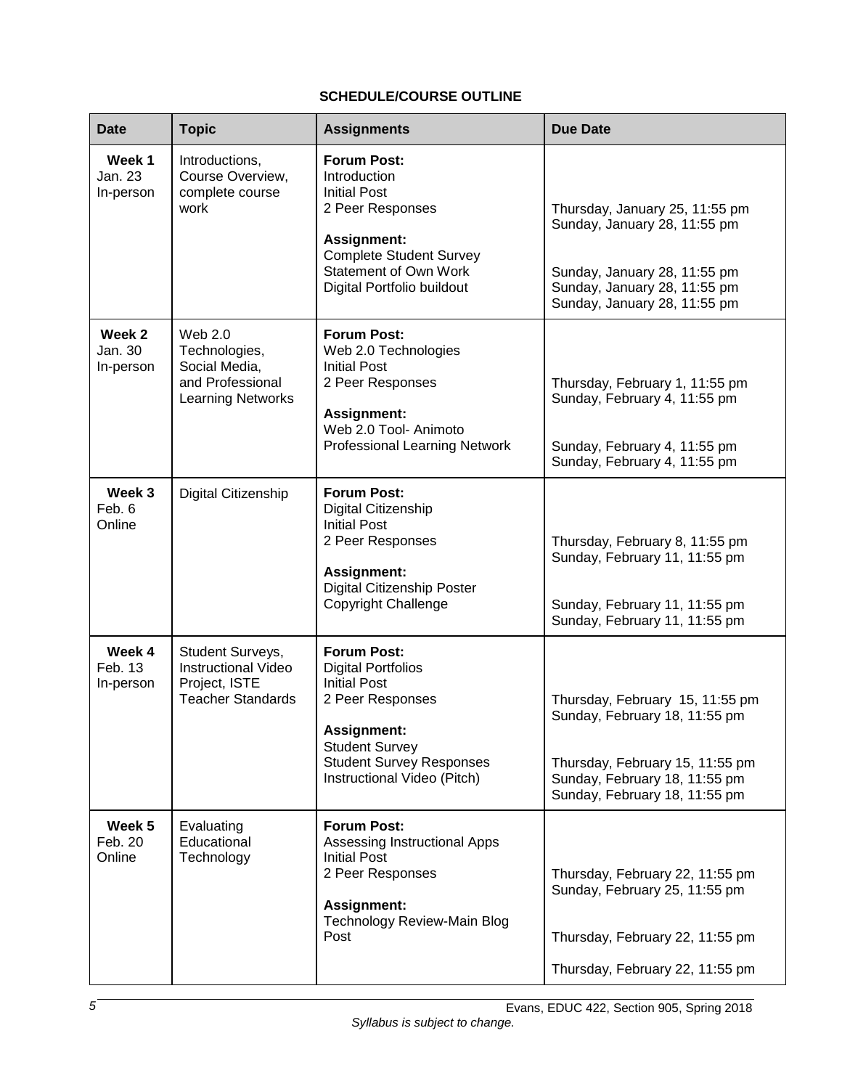# <span id="page-6-0"></span>**SCHEDULE/COURSE OUTLINE**

| <b>Date</b>                    | <b>Topic</b>                                                                                | <b>Assignments</b>                                                                                                                                                                                          | <b>Due Date</b>                                                                                                                                                       |
|--------------------------------|---------------------------------------------------------------------------------------------|-------------------------------------------------------------------------------------------------------------------------------------------------------------------------------------------------------------|-----------------------------------------------------------------------------------------------------------------------------------------------------------------------|
| Week 1<br>Jan. 23<br>In-person | Introductions,<br>Course Overview,<br>complete course<br>work                               | <b>Forum Post:</b><br>Introduction<br><b>Initial Post</b><br>2 Peer Responses<br>Assignment:<br><b>Complete Student Survey</b><br><b>Statement of Own Work</b><br>Digital Portfolio buildout                | Thursday, January 25, 11:55 pm<br>Sunday, January 28, 11:55 pm<br>Sunday, January 28, 11:55 pm<br>Sunday, January 28, 11:55 pm<br>Sunday, January 28, 11:55 pm        |
| Week 2<br>Jan. 30<br>In-person | Web 2.0<br>Technologies,<br>Social Media,<br>and Professional<br><b>Learning Networks</b>   | <b>Forum Post:</b><br>Web 2.0 Technologies<br><b>Initial Post</b><br>2 Peer Responses<br>Assignment:<br>Web 2.0 Tool- Animoto<br><b>Professional Learning Network</b>                                       | Thursday, February 1, 11:55 pm<br>Sunday, February 4, 11:55 pm<br>Sunday, February 4, 11:55 pm<br>Sunday, February 4, 11:55 pm                                        |
| Week 3<br>Feb. 6<br>Online     | Digital Citizenship                                                                         | <b>Forum Post:</b><br>Digital Citizenship<br><b>Initial Post</b><br>2 Peer Responses<br>Assignment:<br><b>Digital Citizenship Poster</b><br><b>Copyright Challenge</b>                                      | Thursday, February 8, 11:55 pm<br>Sunday, February 11, 11:55 pm<br>Sunday, February 11, 11:55 pm<br>Sunday, February 11, 11:55 pm                                     |
| Week 4<br>Feb. 13<br>In-person | Student Surveys,<br><b>Instructional Video</b><br>Project, ISTE<br><b>Teacher Standards</b> | <b>Forum Post:</b><br><b>Digital Portfolios</b><br><b>Initial Post</b><br>2 Peer Responses<br><b>Assignment:</b><br><b>Student Survey</b><br><b>Student Survey Responses</b><br>Instructional Video (Pitch) | Thursday, February 15, 11:55 pm<br>Sunday, February 18, 11:55 pm<br>Thursday, February 15, 11:55 pm<br>Sunday, February 18, 11:55 pm<br>Sunday, February 18, 11:55 pm |
| Week 5<br>Feb. 20<br>Online    | Evaluating<br>Educational<br>Technology                                                     | <b>Forum Post:</b><br>Assessing Instructional Apps<br><b>Initial Post</b><br>2 Peer Responses<br>Assignment:<br>Technology Review-Main Blog<br>Post                                                         | Thursday, February 22, 11:55 pm<br>Sunday, February 25, 11:55 pm<br>Thursday, February 22, 11:55 pm<br>Thursday, February 22, 11:55 pm                                |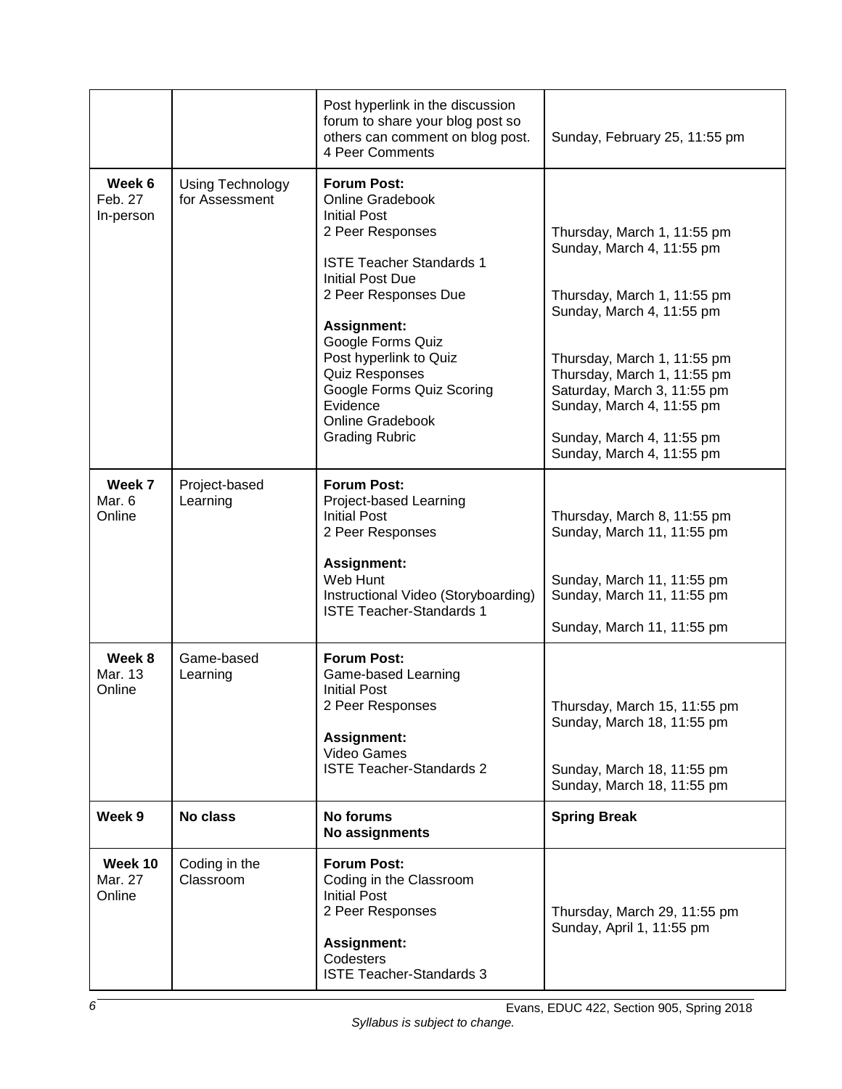|                                |                                    | Post hyperlink in the discussion<br>forum to share your blog post so<br>others can comment on blog post.<br>4 Peer Comments                                                                                                                                                                                                                                 | Sunday, February 25, 11:55 pm                                                                                                                                                                                                                                                                            |
|--------------------------------|------------------------------------|-------------------------------------------------------------------------------------------------------------------------------------------------------------------------------------------------------------------------------------------------------------------------------------------------------------------------------------------------------------|----------------------------------------------------------------------------------------------------------------------------------------------------------------------------------------------------------------------------------------------------------------------------------------------------------|
| Week 6<br>Feb. 27<br>In-person | Using Technology<br>for Assessment | <b>Forum Post:</b><br>Online Gradebook<br><b>Initial Post</b><br>2 Peer Responses<br><b>ISTE Teacher Standards 1</b><br><b>Initial Post Due</b><br>2 Peer Responses Due<br><b>Assignment:</b><br>Google Forms Quiz<br>Post hyperlink to Quiz<br><b>Quiz Responses</b><br>Google Forms Quiz Scoring<br>Evidence<br>Online Gradebook<br><b>Grading Rubric</b> | Thursday, March 1, 11:55 pm<br>Sunday, March 4, 11:55 pm<br>Thursday, March 1, 11:55 pm<br>Sunday, March 4, 11:55 pm<br>Thursday, March 1, 11:55 pm<br>Thursday, March 1, 11:55 pm<br>Saturday, March 3, 11:55 pm<br>Sunday, March 4, 11:55 pm<br>Sunday, March 4, 11:55 pm<br>Sunday, March 4, 11:55 pm |
| Week 7<br>Mar. 6<br>Online     | Project-based<br>Learning          | <b>Forum Post:</b><br>Project-based Learning<br><b>Initial Post</b><br>2 Peer Responses<br><b>Assignment:</b><br>Web Hunt<br>Instructional Video (Storyboarding)<br><b>ISTE Teacher-Standards 1</b>                                                                                                                                                         | Thursday, March 8, 11:55 pm<br>Sunday, March 11, 11:55 pm<br>Sunday, March 11, 11:55 pm<br>Sunday, March 11, 11:55 pm<br>Sunday, March 11, 11:55 pm                                                                                                                                                      |
| Week 8<br>Mar. 13<br>Online    | Game-based<br>Learning             | <b>Forum Post:</b><br>Game-based Learning<br><b>Initial Post</b><br>2 Peer Responses<br><b>Assignment:</b><br>Video Games<br><b>ISTE Teacher-Standards 2</b>                                                                                                                                                                                                | Thursday, March 15, 11:55 pm<br>Sunday, March 18, 11:55 pm<br>Sunday, March 18, 11:55 pm<br>Sunday, March 18, 11:55 pm                                                                                                                                                                                   |
| Week 9                         | No class                           | No forums<br>No assignments                                                                                                                                                                                                                                                                                                                                 | <b>Spring Break</b>                                                                                                                                                                                                                                                                                      |
| Week 10<br>Mar. 27<br>Online   | Coding in the<br>Classroom         | <b>Forum Post:</b><br>Coding in the Classroom<br><b>Initial Post</b><br>2 Peer Responses<br>Assignment:<br>Codesters<br><b>ISTE Teacher-Standards 3</b>                                                                                                                                                                                                     | Thursday, March 29, 11:55 pm<br>Sunday, April 1, 11:55 pm                                                                                                                                                                                                                                                |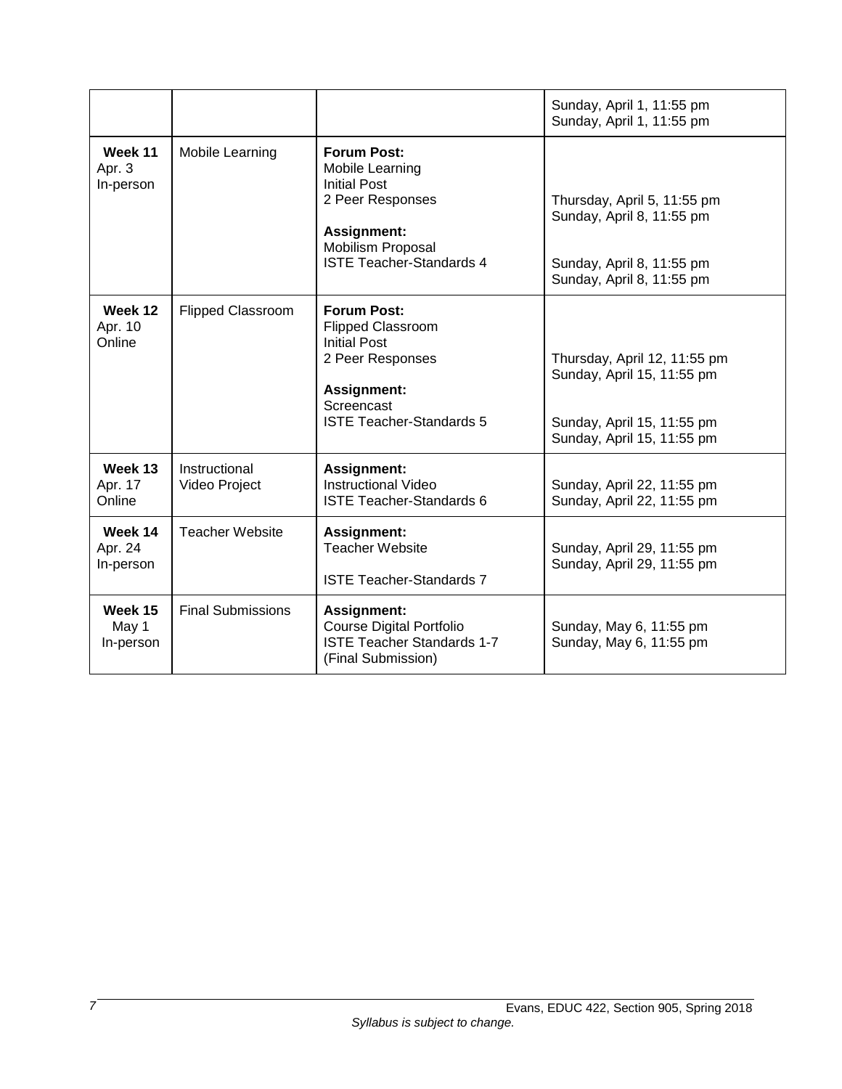|                                 |                                |                                                                                                                                                                  | Sunday, April 1, 11:55 pm<br>Sunday, April 1, 11:55 pm                                                                 |
|---------------------------------|--------------------------------|------------------------------------------------------------------------------------------------------------------------------------------------------------------|------------------------------------------------------------------------------------------------------------------------|
| Week 11<br>Apr. 3<br>In-person  | Mobile Learning                | <b>Forum Post:</b><br>Mobile Learning<br><b>Initial Post</b><br>2 Peer Responses<br><b>Assignment:</b><br>Mobilism Proposal<br><b>ISTE Teacher-Standards 4</b>   | Thursday, April 5, 11:55 pm<br>Sunday, April 8, 11:55 pm<br>Sunday, April 8, 11:55 pm<br>Sunday, April 8, 11:55 pm     |
| Week 12<br>Apr. 10<br>Online    | <b>Flipped Classroom</b>       | <b>Forum Post:</b><br><b>Flipped Classroom</b><br><b>Initial Post</b><br>2 Peer Responses<br><b>Assignment:</b><br>Screencast<br><b>ISTE Teacher-Standards 5</b> | Thursday, April 12, 11:55 pm<br>Sunday, April 15, 11:55 pm<br>Sunday, April 15, 11:55 pm<br>Sunday, April 15, 11:55 pm |
| Week 13<br>Apr. 17<br>Online    | Instructional<br>Video Project | <b>Assignment:</b><br><b>Instructional Video</b><br><b>ISTE Teacher-Standards 6</b>                                                                              | Sunday, April 22, 11:55 pm<br>Sunday, April 22, 11:55 pm                                                               |
| Week 14<br>Apr. 24<br>In-person | Teacher Website                | <b>Assignment:</b><br><b>Teacher Website</b><br><b>ISTE Teacher-Standards 7</b>                                                                                  | Sunday, April 29, 11:55 pm<br>Sunday, April 29, 11:55 pm                                                               |
| Week 15<br>May 1<br>In-person   | <b>Final Submissions</b>       | <b>Assignment:</b><br><b>Course Digital Portfolio</b><br><b>ISTE Teacher Standards 1-7</b><br>(Final Submission)                                                 | Sunday, May 6, 11:55 pm<br>Sunday, May 6, 11:55 pm                                                                     |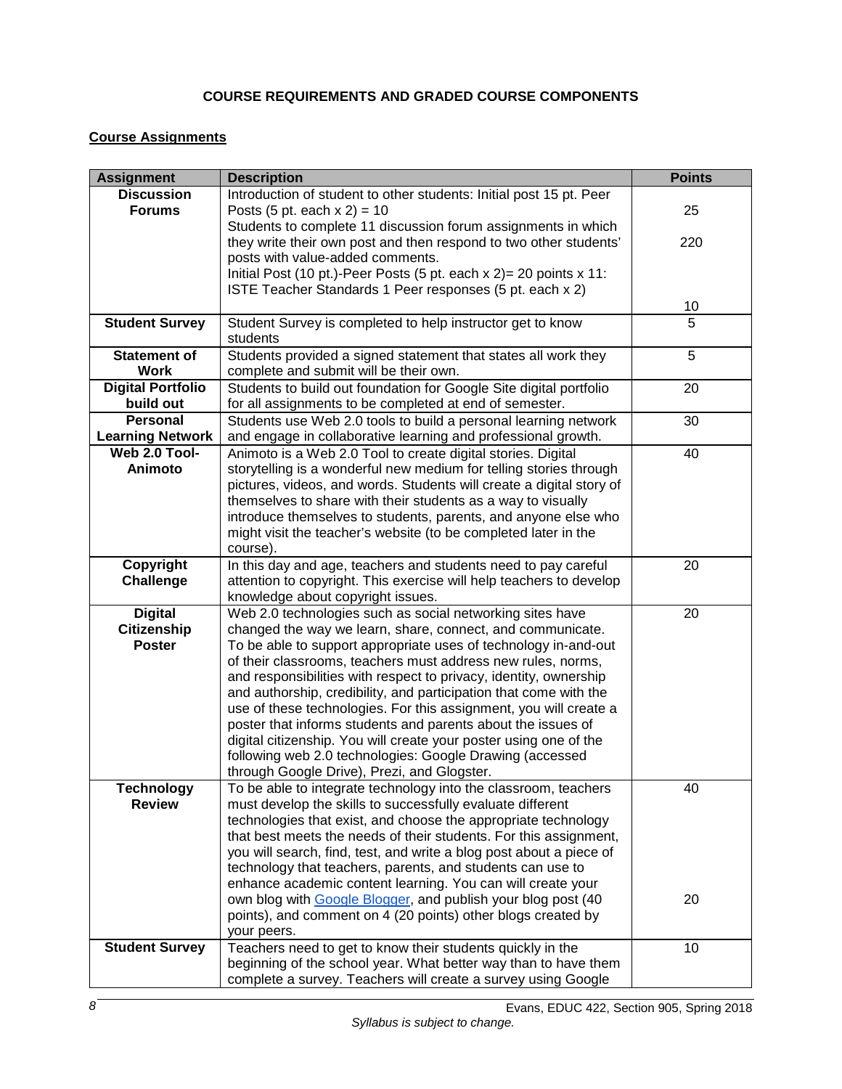## <span id="page-9-0"></span>**COURSE REQUIREMENTS AND GRADED COURSE COMPONENTS**

## <span id="page-9-1"></span>**Course Assignments**

| <b>Assignment</b>                     | <b>Description</b>                                                                                                         | <b>Points</b> |
|---------------------------------------|----------------------------------------------------------------------------------------------------------------------------|---------------|
| <b>Discussion</b>                     | Introduction of student to other students: Initial post 15 pt. Peer                                                        |               |
| <b>Forums</b>                         | Posts (5 pt. each $x$ 2) = 10                                                                                              | 25            |
|                                       | Students to complete 11 discussion forum assignments in which                                                              |               |
|                                       | they write their own post and then respond to two other students'                                                          | 220           |
|                                       | posts with value-added comments.                                                                                           |               |
|                                       | Initial Post (10 pt.)-Peer Posts (5 pt. each x 2) = 20 points x 11:                                                        |               |
|                                       | ISTE Teacher Standards 1 Peer responses (5 pt. each x 2)                                                                   |               |
|                                       |                                                                                                                            | 10            |
| <b>Student Survey</b>                 | Student Survey is completed to help instructor get to know                                                                 | 5             |
|                                       | students                                                                                                                   |               |
| <b>Statement of</b>                   | Students provided a signed statement that states all work they                                                             | 5             |
| <b>Work</b>                           | complete and submit will be their own.                                                                                     |               |
| <b>Digital Portfolio</b><br>build out | Students to build out foundation for Google Site digital portfolio                                                         | 20            |
| <b>Personal</b>                       | for all assignments to be completed at end of semester.<br>Students use Web 2.0 tools to build a personal learning network | 30            |
| <b>Learning Network</b>               | and engage in collaborative learning and professional growth.                                                              |               |
| Web 2.0 Tool-                         | Animoto is a Web 2.0 Tool to create digital stories. Digital                                                               | 40            |
| Animoto                               | storytelling is a wonderful new medium for telling stories through                                                         |               |
|                                       | pictures, videos, and words. Students will create a digital story of                                                       |               |
|                                       | themselves to share with their students as a way to visually                                                               |               |
|                                       | introduce themselves to students, parents, and anyone else who                                                             |               |
|                                       | might visit the teacher's website (to be completed later in the                                                            |               |
|                                       | course).                                                                                                                   |               |
| Copyright                             | In this day and age, teachers and students need to pay careful                                                             | 20            |
| Challenge                             | attention to copyright. This exercise will help teachers to develop                                                        |               |
|                                       | knowledge about copyright issues.                                                                                          |               |
| <b>Digital</b>                        | Web 2.0 technologies such as social networking sites have                                                                  | 20            |
| <b>Citizenship</b>                    | changed the way we learn, share, connect, and communicate.                                                                 |               |
| <b>Poster</b>                         | To be able to support appropriate uses of technology in-and-out                                                            |               |
|                                       | of their classrooms, teachers must address new rules, norms,                                                               |               |
|                                       | and responsibilities with respect to privacy, identity, ownership                                                          |               |
|                                       | and authorship, credibility, and participation that come with the                                                          |               |
|                                       | use of these technologies. For this assignment, you will create a                                                          |               |
|                                       | poster that informs students and parents about the issues of                                                               |               |
|                                       | digital citizenship. You will create your poster using one of the                                                          |               |
|                                       | following web 2.0 technologies: Google Drawing (accessed<br>through Google Drive), Prezi, and Glogster.                    |               |
| Technology                            | To be able to integrate technology into the classroom, teachers                                                            | 40            |
| <b>Review</b>                         | must develop the skills to successfully evaluate different                                                                 |               |
|                                       | technologies that exist, and choose the appropriate technology                                                             |               |
|                                       | that best meets the needs of their students. For this assignment,                                                          |               |
|                                       | you will search, find, test, and write a blog post about a piece of                                                        |               |
|                                       | technology that teachers, parents, and students can use to                                                                 |               |
|                                       | enhance academic content learning. You can will create your                                                                |               |
|                                       | own blog with Google Blogger, and publish your blog post (40                                                               | 20            |
|                                       | points), and comment on 4 (20 points) other blogs created by                                                               |               |
|                                       | your peers.                                                                                                                |               |
| <b>Student Survey</b>                 | Teachers need to get to know their students quickly in the                                                                 | 10            |
|                                       | beginning of the school year. What better way than to have them                                                            |               |
|                                       | complete a survey. Teachers will create a survey using Google                                                              |               |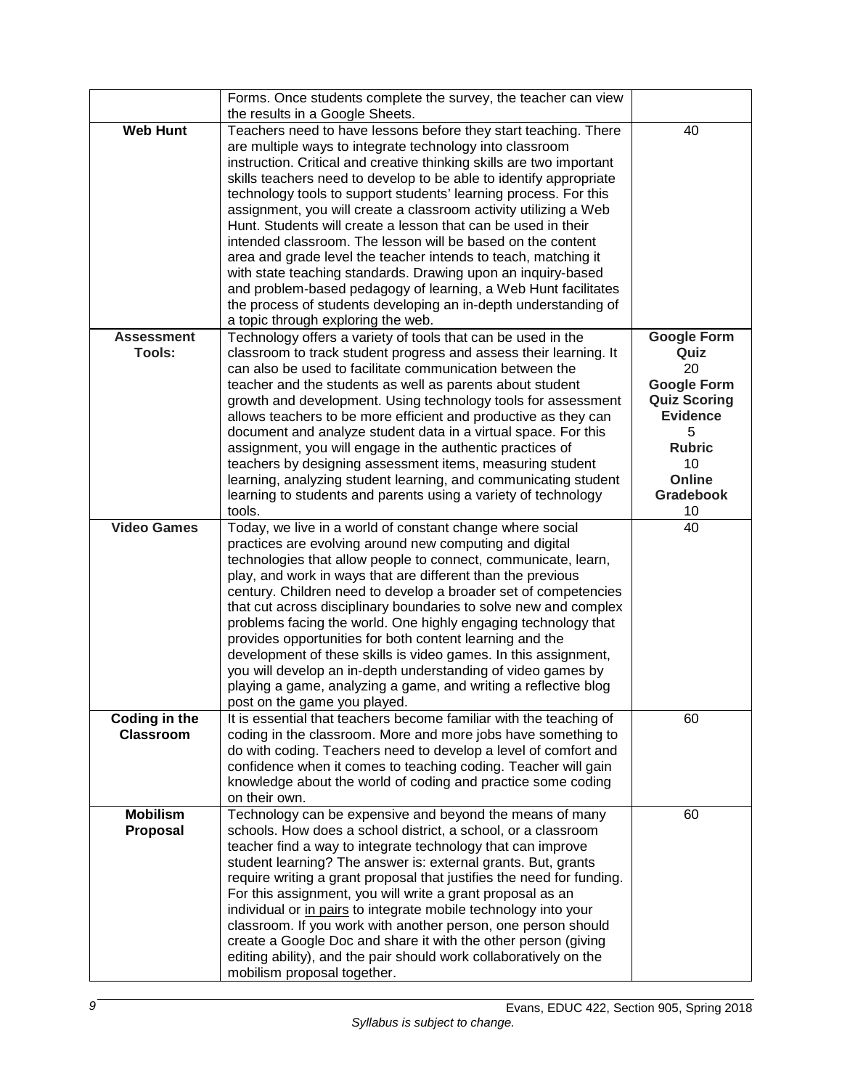|                             | Forms. Once students complete the survey, the teacher can view<br>the results in a Google Sheets.                                                                                                   |                                           |
|-----------------------------|-----------------------------------------------------------------------------------------------------------------------------------------------------------------------------------------------------|-------------------------------------------|
| <b>Web Hunt</b>             | Teachers need to have lessons before they start teaching. There<br>are multiple ways to integrate technology into classroom<br>instruction. Critical and creative thinking skills are two important | 40                                        |
|                             | skills teachers need to develop to be able to identify appropriate                                                                                                                                  |                                           |
|                             | technology tools to support students' learning process. For this                                                                                                                                    |                                           |
|                             | assignment, you will create a classroom activity utilizing a Web<br>Hunt. Students will create a lesson that can be used in their                                                                   |                                           |
|                             | intended classroom. The lesson will be based on the content                                                                                                                                         |                                           |
|                             | area and grade level the teacher intends to teach, matching it                                                                                                                                      |                                           |
|                             | with state teaching standards. Drawing upon an inquiry-based                                                                                                                                        |                                           |
|                             | and problem-based pedagogy of learning, a Web Hunt facilitates                                                                                                                                      |                                           |
|                             | the process of students developing an in-depth understanding of<br>a topic through exploring the web.                                                                                               |                                           |
| <b>Assessment</b>           | Technology offers a variety of tools that can be used in the                                                                                                                                        | <b>Google Form</b>                        |
| Tools:                      | classroom to track student progress and assess their learning. It                                                                                                                                   | Quiz                                      |
|                             | can also be used to facilitate communication between the                                                                                                                                            | 20                                        |
|                             | teacher and the students as well as parents about student                                                                                                                                           | <b>Google Form</b><br><b>Quiz Scoring</b> |
|                             | growth and development. Using technology tools for assessment<br>allows teachers to be more efficient and productive as they can                                                                    | <b>Evidence</b>                           |
|                             | document and analyze student data in a virtual space. For this                                                                                                                                      | 5                                         |
|                             | assignment, you will engage in the authentic practices of                                                                                                                                           | <b>Rubric</b>                             |
|                             | teachers by designing assessment items, measuring student                                                                                                                                           | 10                                        |
|                             | learning, analyzing student learning, and communicating student<br>learning to students and parents using a variety of technology                                                                   | Online<br><b>Gradebook</b>                |
|                             | tools.                                                                                                                                                                                              | 10                                        |
| <b>Video Games</b>          | Today, we live in a world of constant change where social                                                                                                                                           | 40                                        |
|                             | practices are evolving around new computing and digital                                                                                                                                             |                                           |
|                             | technologies that allow people to connect, communicate, learn,<br>play, and work in ways that are different than the previous                                                                       |                                           |
|                             | century. Children need to develop a broader set of competencies                                                                                                                                     |                                           |
|                             | that cut across disciplinary boundaries to solve new and complex                                                                                                                                    |                                           |
|                             | problems facing the world. One highly engaging technology that                                                                                                                                      |                                           |
|                             | provides opportunities for both content learning and the                                                                                                                                            |                                           |
|                             | development of these skills is video games. In this assignment,<br>you will develop an in-depth understanding of video games by                                                                     |                                           |
|                             | playing a game, analyzing a game, and writing a reflective blog                                                                                                                                     |                                           |
|                             | post on the game you played.                                                                                                                                                                        |                                           |
| Coding in the               | It is essential that teachers become familiar with the teaching of                                                                                                                                  | 60                                        |
| <b>Classroom</b>            | coding in the classroom. More and more jobs have something to<br>do with coding. Teachers need to develop a level of comfort and                                                                    |                                           |
|                             | confidence when it comes to teaching coding. Teacher will gain                                                                                                                                      |                                           |
|                             | knowledge about the world of coding and practice some coding                                                                                                                                        |                                           |
|                             | on their own.                                                                                                                                                                                       |                                           |
| <b>Mobilism</b><br>Proposal | Technology can be expensive and beyond the means of many<br>schools. How does a school district, a school, or a classroom                                                                           | 60                                        |
|                             | teacher find a way to integrate technology that can improve                                                                                                                                         |                                           |
|                             | student learning? The answer is: external grants. But, grants                                                                                                                                       |                                           |
|                             | require writing a grant proposal that justifies the need for funding.                                                                                                                               |                                           |
|                             | For this assignment, you will write a grant proposal as an                                                                                                                                          |                                           |
|                             | individual or in pairs to integrate mobile technology into your<br>classroom. If you work with another person, one person should                                                                    |                                           |
|                             | create a Google Doc and share it with the other person (giving                                                                                                                                      |                                           |
|                             | editing ability), and the pair should work collaboratively on the                                                                                                                                   |                                           |
|                             | mobilism proposal together.                                                                                                                                                                         |                                           |

*9*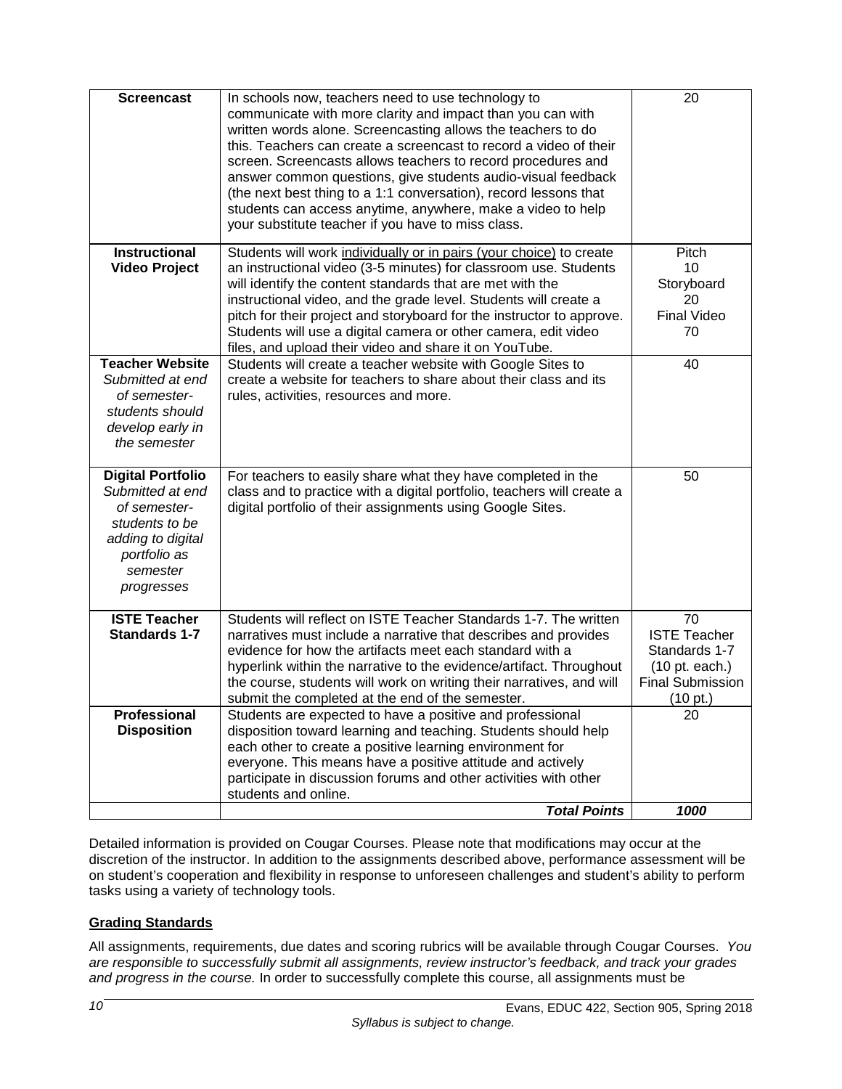| <b>Screencast</b>                                                                                                                             | In schools now, teachers need to use technology to<br>communicate with more clarity and impact than you can with<br>written words alone. Screencasting allows the teachers to do<br>this. Teachers can create a screencast to record a video of their<br>screen. Screencasts allows teachers to record procedures and<br>answer common questions, give students audio-visual feedback<br>(the next best thing to a 1:1 conversation), record lessons that<br>students can access anytime, anywhere, make a video to help<br>your substitute teacher if you have to miss class. | 20                                                                                                            |
|-----------------------------------------------------------------------------------------------------------------------------------------------|--------------------------------------------------------------------------------------------------------------------------------------------------------------------------------------------------------------------------------------------------------------------------------------------------------------------------------------------------------------------------------------------------------------------------------------------------------------------------------------------------------------------------------------------------------------------------------|---------------------------------------------------------------------------------------------------------------|
| <b>Instructional</b><br><b>Video Project</b>                                                                                                  | Students will work individually or in pairs (your choice) to create<br>an instructional video (3-5 minutes) for classroom use. Students<br>will identify the content standards that are met with the<br>instructional video, and the grade level. Students will create a<br>pitch for their project and storyboard for the instructor to approve.<br>Students will use a digital camera or other camera, edit video<br>files, and upload their video and share it on YouTube.                                                                                                  | Pitch<br>10<br>Storyboard<br>20<br><b>Final Video</b><br>70                                                   |
| <b>Teacher Website</b><br>Submitted at end<br>of semester-<br>students should<br>develop early in<br>the semester                             | Students will create a teacher website with Google Sites to<br>create a website for teachers to share about their class and its<br>rules, activities, resources and more.                                                                                                                                                                                                                                                                                                                                                                                                      | 40                                                                                                            |
| <b>Digital Portfolio</b><br>Submitted at end<br>of semester-<br>students to be<br>adding to digital<br>portfolio as<br>semester<br>progresses | For teachers to easily share what they have completed in the<br>class and to practice with a digital portfolio, teachers will create a<br>digital portfolio of their assignments using Google Sites.                                                                                                                                                                                                                                                                                                                                                                           | 50                                                                                                            |
| <b>ISTE Teacher</b><br><b>Standards 1-7</b>                                                                                                   | Students will reflect on ISTE Teacher Standards 1-7. The written<br>narratives must include a narrative that describes and provides<br>evidence for how the artifacts meet each standard with a<br>hyperlink within the narrative to the evidence/artifact. Throughout<br>the course, students will work on writing their narratives, and will<br>submit the completed at the end of the semester.                                                                                                                                                                             | 70<br><b>ISTE Teacher</b><br>Standards 1-7<br>$(10 \text{ pt. each.})$<br><b>Final Submission</b><br>(10 pt.) |
| <b>Professional</b><br><b>Disposition</b>                                                                                                     | Students are expected to have a positive and professional<br>disposition toward learning and teaching. Students should help<br>each other to create a positive learning environment for<br>everyone. This means have a positive attitude and actively<br>participate in discussion forums and other activities with other<br>students and online.                                                                                                                                                                                                                              | 20                                                                                                            |
|                                                                                                                                               | <b>Total Points</b>                                                                                                                                                                                                                                                                                                                                                                                                                                                                                                                                                            | 1000                                                                                                          |

Detailed information is provided on Cougar Courses. Please note that modifications may occur at the discretion of the instructor. In addition to the assignments described above, performance assessment will be on student's cooperation and flexibility in response to unforeseen challenges and student's ability to perform tasks using a variety of technology tools.

# <span id="page-11-0"></span>**Grading Standards**

All assignments, requirements, due dates and scoring rubrics will be available through Cougar Courses. *You are responsible to successfully submit all assignments, review instructor's feedback, and track your grades and progress in the course.* In order to successfully complete this course, all assignments must be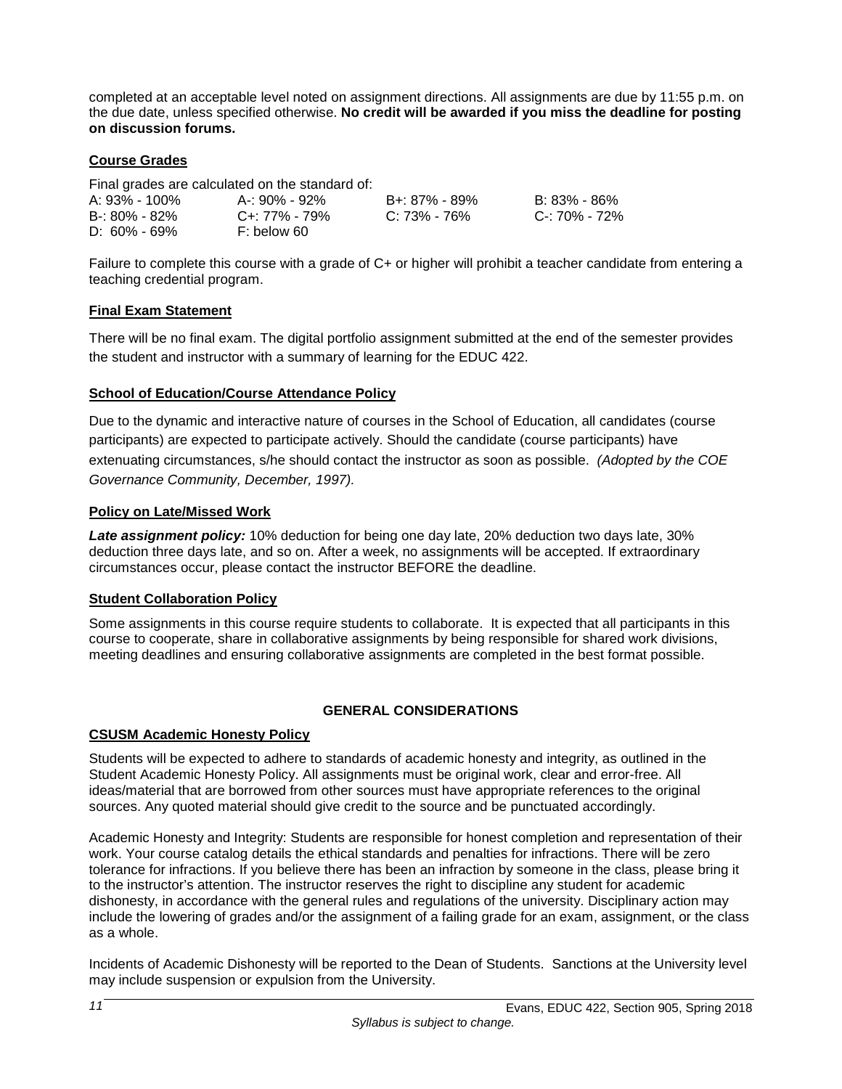completed at an acceptable level noted on assignment directions. All assignments are due by 11:55 p.m. on the due date, unless specified otherwise. **No credit will be awarded if you miss the deadline for posting on discussion forums.**

### <span id="page-12-0"></span>**Course Grades**

Final grades are calculated on the standard of:

| A: 93% - 100% | A-: 90% - 92%       | B+: 87% - 89% | B: 83% - 86%  |
|---------------|---------------------|---------------|---------------|
| B-: 80% - 82% | $C_{+}$ : 77% - 79% | C: 73% - 76%  | C-: 70% - 72% |
| D: 60% - 69%  | F: below 60         |               |               |

Failure to complete this course with a grade of C+ or higher will prohibit a teacher candidate from entering a teaching credential program.

### <span id="page-12-1"></span>**Final Exam Statement**

There will be no final exam. The digital portfolio assignment submitted at the end of the semester provides the student and instructor with a summary of learning for the EDUC 422.

### <span id="page-12-2"></span>**School of Education/Course Attendance Policy**

Due to the dynamic and interactive nature of courses in the School of Education, all candidates (course participants) are expected to participate actively. Should the candidate (course participants) have extenuating circumstances, s/he should contact the instructor as soon as possible. *(Adopted by the COE Governance Community, December, 1997).*

#### <span id="page-12-3"></span>**Policy on Late/Missed Work**

*Late assignment policy:* 10% deduction for being one day late, 20% deduction two days late, 30% deduction three days late, and so on. After a week, no assignments will be accepted. If extraordinary circumstances occur, please contact the instructor BEFORE the deadline.

#### <span id="page-12-4"></span>**Student Collaboration Policy**

Some assignments in this course require students to collaborate. It is expected that all participants in this course to cooperate, share in collaborative assignments by being responsible for shared work divisions, meeting deadlines and ensuring collaborative assignments are completed in the best format possible.

## **GENERAL CONSIDERATIONS**

#### <span id="page-12-6"></span><span id="page-12-5"></span>**CSUSM Academic Honesty Policy**

Students will be expected to adhere to standards of academic honesty and integrity, as outlined in the Student Academic Honesty Policy. All assignments must be original work, clear and error-free. All ideas/material that are borrowed from other sources must have appropriate references to the original sources. Any quoted material should give credit to the source and be punctuated accordingly.

Academic Honesty and Integrity: Students are responsible for honest completion and representation of their work. Your course catalog details the ethical standards and penalties for infractions. There will be zero tolerance for infractions. If you believe there has been an infraction by someone in the class, please bring it to the instructor's attention. The instructor reserves the right to discipline any student for academic dishonesty, in accordance with the general rules and regulations of the university. Disciplinary action may include the lowering of grades and/or the assignment of a failing grade for an exam, assignment, or the class as a whole.

Incidents of Academic Dishonesty will be reported to the Dean of Students. Sanctions at the University level may include suspension or expulsion from the University.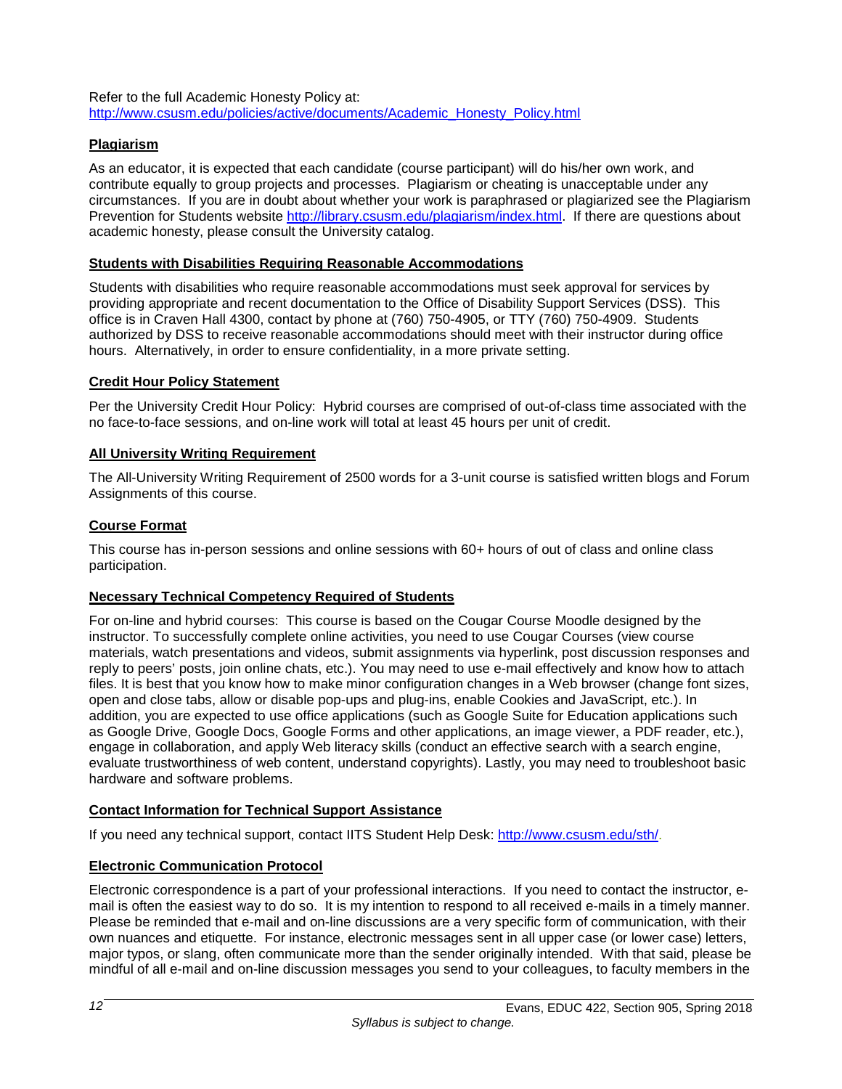Refer to the full Academic Honesty Policy at: [http://www.csusm.edu/policies/active/documents/Academic\\_Honesty\\_Policy.html](http://www.csusm.edu/policies/active/documents/Academic_Honesty_Policy.html)

## <span id="page-13-0"></span>**Plagiarism**

As an educator, it is expected that each candidate (course participant) will do his/her own work, and contribute equally to group projects and processes. Plagiarism or cheating is unacceptable under any circumstances. If you are in doubt about whether your work is paraphrased or plagiarized see the Plagiarism Prevention for Students website [http://library.csusm.edu/plagiarism/index.html.](http://library.csusm.edu/plagiarism/index.html) If there are questions about academic honesty, please consult the University catalog.

### <span id="page-13-1"></span>**Students with Disabilities Requiring Reasonable Accommodations**

Students with disabilities who require reasonable accommodations must seek approval for services by providing appropriate and recent documentation to the Office of Disability Support Services (DSS). This office is in Craven Hall 4300, contact by phone at (760) 750-4905, or TTY (760) 750-4909. Students authorized by DSS to receive reasonable accommodations should meet with their instructor during office hours. Alternatively, in order to ensure confidentiality, in a more private setting.

### <span id="page-13-2"></span>**Credit Hour Policy Statement**

Per the University Credit Hour Policy: Hybrid courses are comprised of out-of-class time associated with the no face-to-face sessions, and on-line work will total at least 45 hours per unit of credit.

### <span id="page-13-3"></span>**All University Writing Requirement**

The All-University Writing Requirement of 2500 words for a 3-unit course is satisfied written blogs and Forum Assignments of this course.

## <span id="page-13-4"></span>**Course Format**

This course has in-person sessions and online sessions with 60+ hours of out of class and online class participation.

### <span id="page-13-5"></span>**Necessary Technical Competency Required of Students**

For on-line and hybrid courses: This course is based on the Cougar Course Moodle designed by the instructor. To successfully complete online activities, you need to use Cougar Courses (view course materials, watch presentations and videos, submit assignments via hyperlink, post discussion responses and reply to peers' posts, join online chats, etc.). You may need to use e-mail effectively and know how to attach files. It is best that you know how to make minor configuration changes in a Web browser (change font sizes, open and close tabs, allow or disable pop-ups and plug-ins, enable Cookies and JavaScript, etc.). In addition, you are expected to use office applications (such as Google Suite for Education applications such as Google Drive, Google Docs, Google Forms and other applications, an image viewer, a PDF reader, etc.), engage in collaboration, and apply Web literacy skills (conduct an effective search with a search engine, evaluate trustworthiness of web content, understand copyrights). Lastly, you may need to troubleshoot basic hardware and software problems.

## <span id="page-13-6"></span>**Contact Information for Technical Support Assistance**

If you need any technical support, contact IITS Student Help Desk: [http://www.csusm.edu/sth/.](http://www.csusm.edu/sth/)

## <span id="page-13-7"></span>**Electronic Communication Protocol**

Electronic correspondence is a part of your professional interactions. If you need to contact the instructor, email is often the easiest way to do so. It is my intention to respond to all received e-mails in a timely manner. Please be reminded that e-mail and on-line discussions are a very specific form of communication, with their own nuances and etiquette. For instance, electronic messages sent in all upper case (or lower case) letters, major typos, or slang, often communicate more than the sender originally intended. With that said, please be mindful of all e-mail and on-line discussion messages you send to your colleagues, to faculty members in the